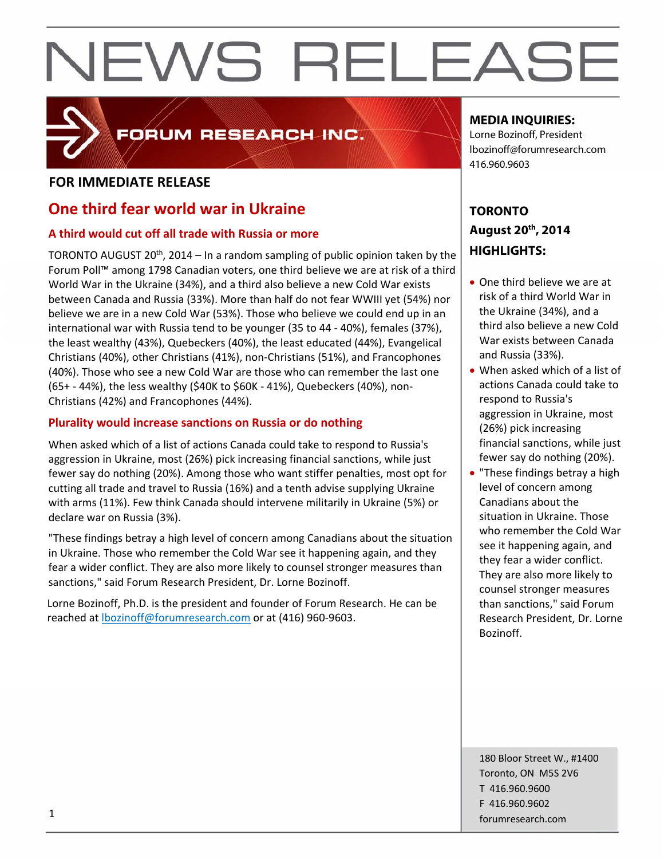# FORUM RESEARCH INC.

## **FOR IMMEDIATE RELEASE**

# **One third fear world war in Ukraine**

### **A third would cut off all trade with Russia or more**

TORONTO AUGUST 20<sup>th</sup>, 2014 – In a random sampling of public opinion taken by the Forum Poll™ among 1798 Canadian voters, one third believe we are at risk of a third World War in the Ukraine (34%), and a third also believe a new Cold War exists between Canada and Russia (33%). More than half do not fear WWIII yet (54%) nor believe we are in a new Cold War (53%). Those who believe we could end up in an international war with Russia tend to be younger (35 to 44 ‐ 40%), females (37%), the least wealthy (43%), Quebeckers (40%), the least educated (44%), Evangelical Christians (40%), other Christians (41%), non‐Christians (51%), and Francophones (40%). Those who see a new Cold War are those who can remember the last one (65+ ‐ 44%), the less wealthy (\$40K to \$60K ‐ 41%), Quebeckers (40%), non‐ Christians (42%) and Francophones (44%).

### **Plurality would increase sanctions on Russia or do nothing**

When asked which of a list of actions Canada could take to respond to Russia's aggression in Ukraine, most (26%) pick increasing financial sanctions, while just fewer say do nothing (20%). Among those who want stiffer penalties, most opt for cutting all trade and travel to Russia (16%) and a tenth advise supplying Ukraine with arms (11%). Few think Canada should intervene militarily in Ukraine (5%) or declare war on Russia (3%).

"These findings betray a high level of concern among Canadians about the situation in Ukraine. Those who remember the Cold War see it happening again, and they fear a wider conflict. They are also more likely to counsel stronger measures than sanctions," said Forum Research President, Dr. Lorne Bozinoff.

Lorne Bozinoff, Ph.D. is the president and founder of Forum Research. He can be reached at lbozinoff@forumresearch.com or at (416) 960‐9603.

### **MEDIA INQUIRIES:**

Lorne Bozinoff, President lbozinoff@forumresearch.com 416.960.9603

# **TORONTO August 20th, 2014 HIGHLIGHTS:**

- One third believe we are at risk of a third World War in the Ukraine (34%), and a third also believe a new Cold War exists between Canada and Russia (33%).
- When asked which of a list of actions Canada could take to respond to Russia's aggression in Ukraine, most (26%) pick increasing financial sanctions, while just fewer say do nothing (20%).
- "These findings betray a high level of concern among Canadians about the situation in Ukraine. Those who remember the Cold War see it happening again, and they fear a wider conflict. They are also more likely to counsel stronger measures than sanctions," said Forum Research President, Dr. Lorne Bozinoff.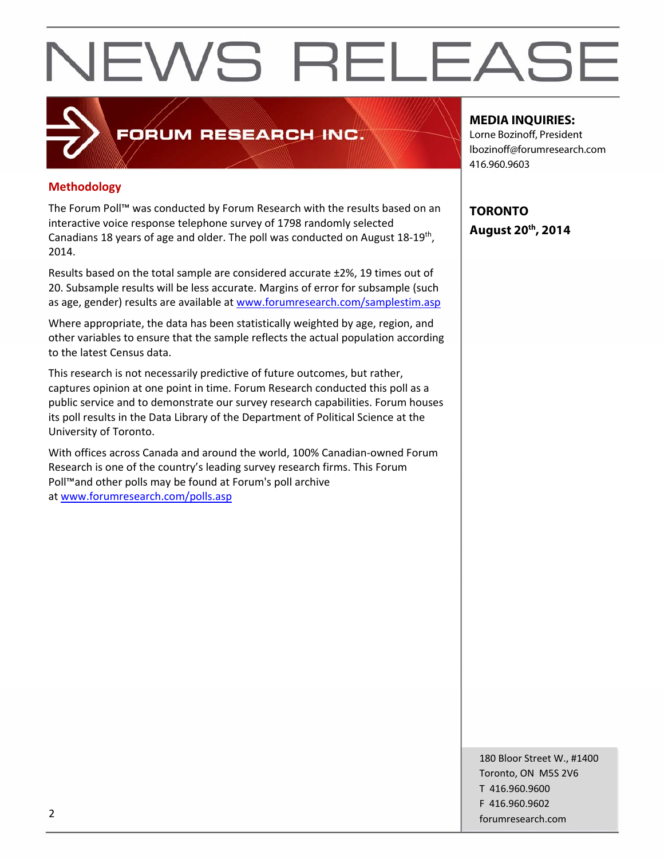# **Methodology**

The Forum Poll™ was conducted by Forum Research with the results based on an interactive voice response telephone survey of 1798 randomly selected Canadians 18 years of age and older. The poll was conducted on August 18‐19th, 2014.

**FORUM RESEARCH INC.** 

Results based on the total sample are considered accurate ±2%, 19 times out of 20. Subsample results will be less accurate. Margins of error for subsample (such as age, gender) results are available at www.forumresearch.com/samplestim.asp

Where appropriate, the data has been statistically weighted by age, region, and other variables to ensure that the sample reflects the actual population according to the latest Census data.

This research is not necessarily predictive of future outcomes, but rather, captures opinion at one point in time. Forum Research conducted this poll as a public service and to demonstrate our survey research capabilities. Forum houses its poll results in the Data Library of the Department of Political Science at the University of Toronto.

With offices across Canada and around the world, 100% Canadian‐owned Forum Research is one of the country's leading survey research firms. This Forum Poll™and other polls may be found at Forum's poll archive at www.forumresearch.com/polls.asp

#### **MEDIA INQUIRIES:**

Lorne Bozinoff, President lbozinoff@forumresearch.com 416.960.9603

**TORONTO August 20th, 2014** 

180 Bloor Street W., #1400 Toronto, ON M5S 2V6 T 416.960.9600 F 416.960.9602 example to the contract of the contract of the contract of the contract of the contract of the contract of the contract of the contract of the contract of the contract of the contract of the contract of the contract of the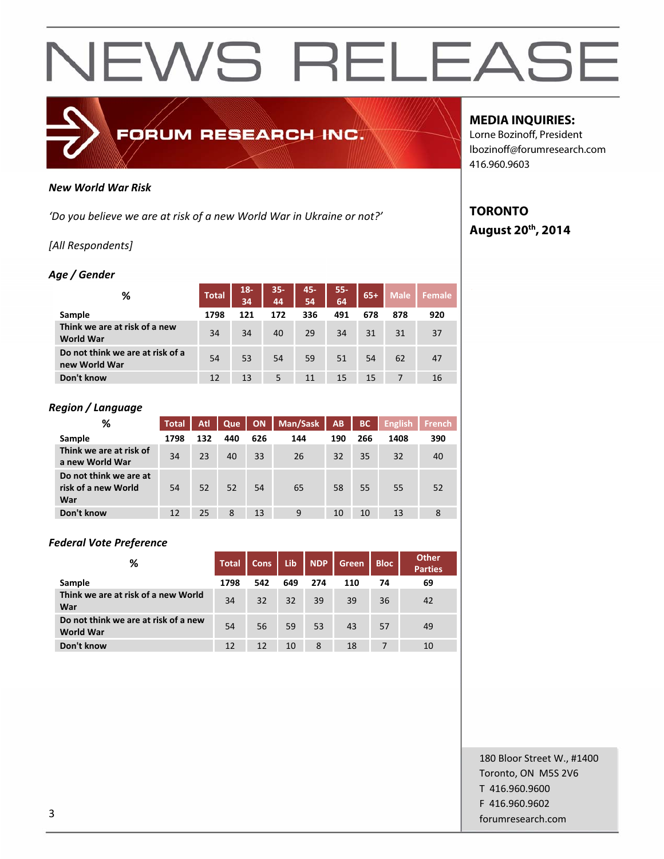

#### *New World War Risk*

*'Do you believe we are at risk of a new World War in Ukraine or not?'*

#### *[All Respondents]*

#### *Age / Gender*

| %                                                 | <b>Total</b> | $18 -$<br>34 | $35 -$<br>44 | 45-<br>54 | $55 -$<br>64 | $65+$ | <b>Male</b> | Female |
|---------------------------------------------------|--------------|--------------|--------------|-----------|--------------|-------|-------------|--------|
| Sample                                            | 1798         | 121          | 172          | 336       | 491          | 678   | 878         | 920    |
| Think we are at risk of a new<br><b>World War</b> | 34           | 34           | 40           | 29        | 34           | 31    | 31          | 37     |
| Do not think we are at risk of a<br>new World War | 54           | 53           | 54           | 59        | 51           | 54    | 62          | 47     |
| Don't know                                        | 12           | 13           | 5            | 11        | 15           | 15    |             | 16     |

#### *Region / Language*

| %                                                    | <b>Total</b> | Atl | Que | <b>ON</b> | Man/Sask | AB  | <b>BC</b> | <b>English</b> | <b>French</b> |
|------------------------------------------------------|--------------|-----|-----|-----------|----------|-----|-----------|----------------|---------------|
| Sample                                               | 1798         | 132 | 440 | 626       | 144      | 190 | 266       | 1408           | 390           |
| Think we are at risk of<br>a new World War           | 34           | 23  | 40  | 33        | 26       | 32  | 35        | 32             | 40            |
| Do not think we are at<br>risk of a new World<br>War | 54           | 52  | 52  | 54        | 65       | 58  | 55        | 55             | 52            |
| Don't know                                           | 12           | 25  | 8   | 13        | 9        | 10  | 10        | 13             | 8             |

#### *Federal Vote Preference*

| %                                                        | <b>Total</b> | <b>Cons</b> | Lib | <b>NDP</b> | Green | <b>Bloc</b> | <b>Other</b><br><b>Parties</b> |
|----------------------------------------------------------|--------------|-------------|-----|------------|-------|-------------|--------------------------------|
| Sample                                                   | 1798         | 542         | 649 | 274        | 110   | 74          | 69                             |
| Think we are at risk of a new World<br>War               | 34           | 32          | 32  | 39         | 39    | 36          | 42                             |
| Do not think we are at risk of a new<br><b>World War</b> | 54           | 56          | 59  | 53         | 43    | 57          | 49                             |
| Don't know                                               | 12           | 12          | 10  | 8          | 18    | 7           | 10                             |

#### **MEDIA INQUIRIES:**

Lorne Bozinoff, President lbozinoff@forumresearch.com 416.960.9603

## **TORONTO August 20th, 2014**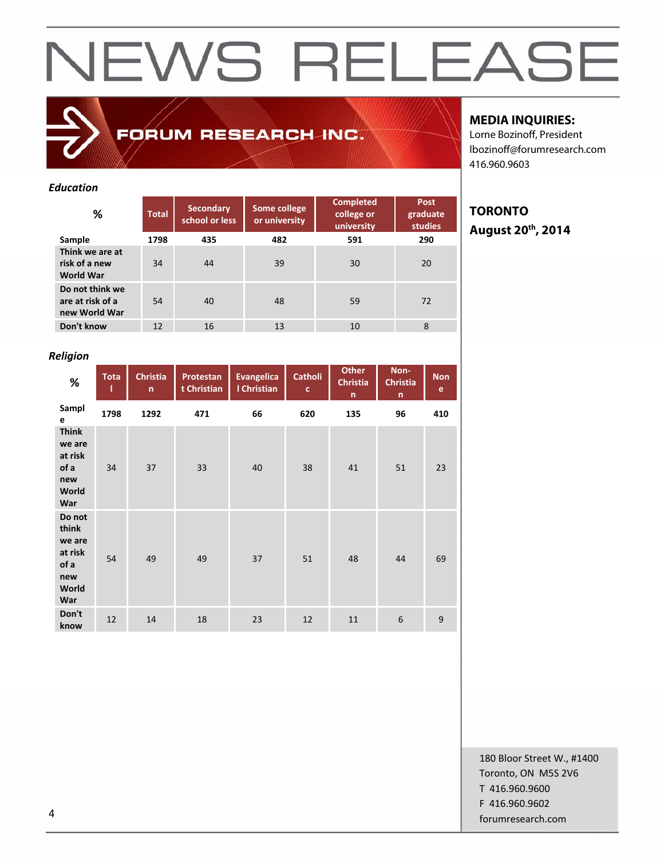FORUM RESEARCH INC.

#### *Education*

| %                                                    | <b>Total</b> | <b>Secondary</b><br>school or less | Some college<br>or university | <b>Completed</b><br>college or<br>university | Post<br>graduate<br><b>studies</b> |
|------------------------------------------------------|--------------|------------------------------------|-------------------------------|----------------------------------------------|------------------------------------|
| Sample                                               | 1798         | 435                                | 482                           | 591                                          | 290                                |
| Think we are at<br>risk of a new<br>World War        | 34           | 44                                 | 39                            | 30                                           | 20                                 |
| Do not think we<br>are at risk of a<br>new World War | 54           | 40                                 | 48                            | 59                                           | 72                                 |
| Don't know                                           | 12           | 16                                 | 13                            | 10                                           | 8                                  |

### **MEDIA INQUIRIES:**

Lorne Bozinoff, President lbozinoff@forumresearch.com 416.960.9603

# **TORONTO August 20th, 2014**

### *Religion*

| %                                                                   | <b>Tota</b><br>ı | <b>Christia</b><br>$\mathsf{n}$ | Protestan<br>t Christian | <b>Evangelica</b><br>I Christian | Catholi<br>$\mathbf{c}$ | <b>Other</b><br><b>Christia</b><br>$\mathsf{n}$ | Non-<br><b>Christia</b><br>$\mathsf{n}$ | <b>Non</b><br>e |
|---------------------------------------------------------------------|------------------|---------------------------------|--------------------------|----------------------------------|-------------------------|-------------------------------------------------|-----------------------------------------|-----------------|
| Sampl<br>e                                                          | 1798             | 1292                            | 471                      | 66                               | 620                     | 135                                             | 96                                      | 410             |
| <b>Think</b><br>we are<br>at risk<br>of a<br>new<br>World<br>War    | 34               | 37                              | 33                       | 40                               | 38                      | 41                                              | 51                                      | 23              |
| Do not<br>think<br>we are<br>at risk<br>of a<br>new<br>World<br>War | 54               | 49                              | 49                       | 37                               | 51                      | 48                                              | 44                                      | 69              |
| Don't<br>know                                                       | 12               | 14                              | 18                       | 23                               | 12                      | 11                                              | 6                                       | 9               |

180 Bloor Street W., #1400 Toronto, ON M5S 2V6 T 416.960.9600 F 416.960.9602 example to the contract of the contract of the contract of the contract of the contract of the contract of the contract of the contract of the contract of the contract of the contract of the contract of the contract of the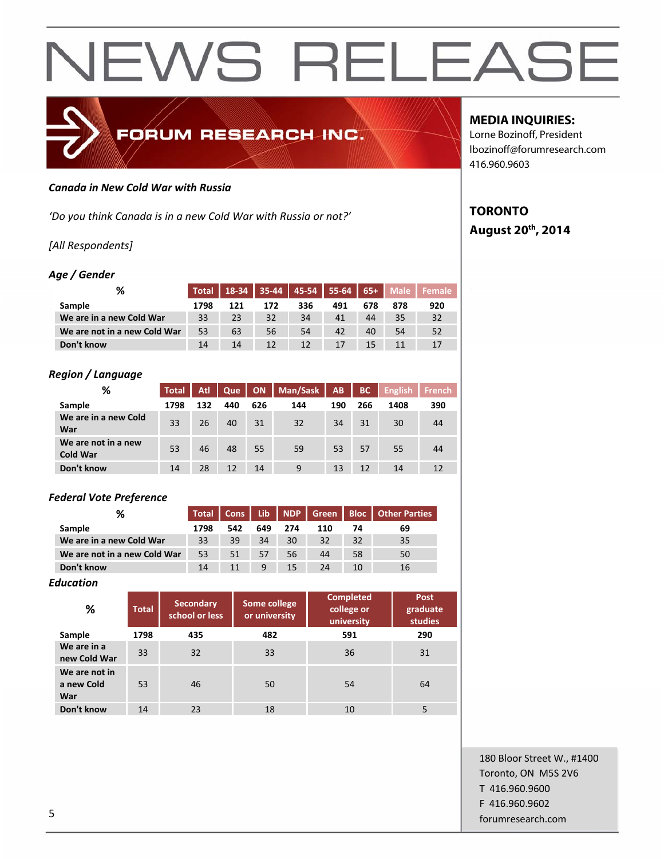#### *Canada in New Cold War with Russia*

*'Do you think Canada is in a new Cold War with Russia or not?'*

#### *[All Respondents]*

#### *Age / Gender*

| %                            |      |     |     |     |     |     |     | Total   18-34   35-44   45-54   55-64   65+   Male   Female |
|------------------------------|------|-----|-----|-----|-----|-----|-----|-------------------------------------------------------------|
| Sample                       | 1798 | 121 | 172 | 336 | 491 | 678 | 878 | 920                                                         |
| We are in a new Cold War     | 33   | 23  | 32  | 34  | 41  | 44  | 35  | 32                                                          |
| We are not in a new Cold War | 53   | 63  | 56  | 54  | 42  | 40  | 54  | 52                                                          |
| Don't know                   | 14   | 14  | 12  | 12  | 17  | 15  |     | 17                                                          |

FORUM RESEARCH INC.

#### *Region / Language*

| ℅                                      | <b>Total</b> | Atl | Que | ON  | Man/Sask | AB  | <b>BC</b> | <b>English</b> | <b>French</b> |
|----------------------------------------|--------------|-----|-----|-----|----------|-----|-----------|----------------|---------------|
| Sample                                 | 1798         | 132 | 440 | 626 | 144      | 190 | 266       | 1408           | 390           |
| We are in a new Cold<br>War            | 33           | 26  | 40  | 31  | 32       | 34  | 31        | 30             | 44            |
| We are not in a new<br><b>Cold War</b> | 53           | 46  | 48  | 55  | 59       | 53  | 57        | 55             | 44            |
| Don't know                             | 14           | 28  | 12  | 14  | 9        | 13  | 12        | 14             | 12            |

#### *Federal Vote Preference*

| %                            | <b>Total</b> | Cons | Lib | NDP | Green      |    | <b>Bloc</b>   Other Parties |
|------------------------------|--------------|------|-----|-----|------------|----|-----------------------------|
| <b>Sample</b>                | 1798         | 542  | 649 | 274 | <b>110</b> | 74 | 69                          |
| We are in a new Cold War     | 33           | 39   | 34  | 30  | 32         | 32 | 35                          |
| We are not in a new Cold War | 53           | 51   | 57  | 56  | 44         | 58 | 50                          |
| Don't know                   | 14           | 11   | 9   | 15  | 24         | 10 | 16                          |

#### *Education*

| %                                  | <b>Total</b> | <b>Secondary</b><br>school or less | Some college<br>or university | <b>Completed</b><br>college or<br>university | Post<br>graduate<br><b>studies</b> |
|------------------------------------|--------------|------------------------------------|-------------------------------|----------------------------------------------|------------------------------------|
| Sample                             | 1798         | 435                                | 482                           | 591                                          | 290                                |
| We are in a<br>new Cold War        | 33           | 32                                 | 33                            | 36                                           | 31                                 |
| We are not in<br>a new Cold<br>War | 53           | 46                                 | 50                            | 54                                           | 64                                 |
| Don't know                         | 14           | 23                                 | 18                            | 10                                           | 5                                  |

#### **MEDIA INQUIRIES:**

Lorne Bozinoff, President lbozinoff@forumresearch.com 416.960.9603

## **TORONTO August 20th, 2014**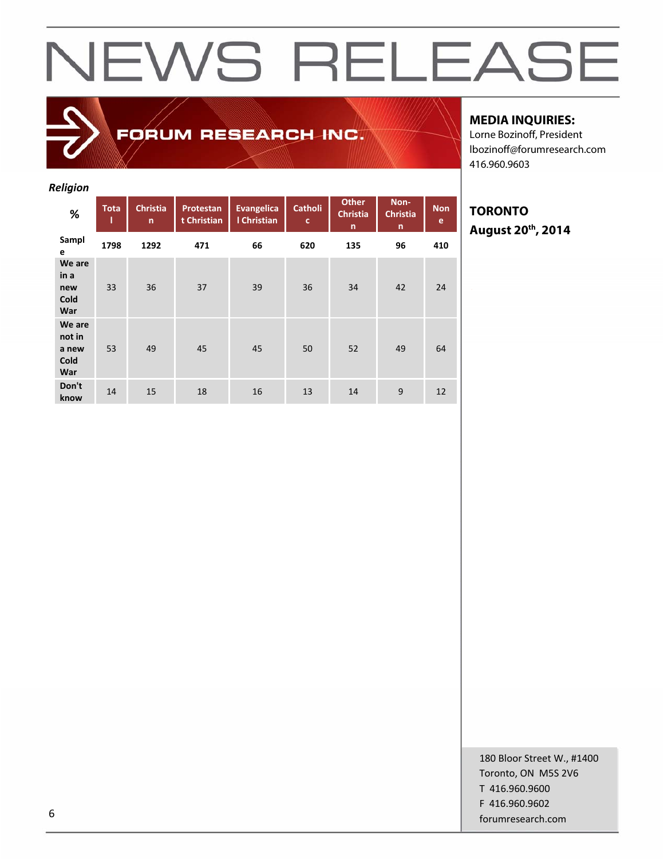**Cold War**

**We are not in a new Cold War**

**Don't**

*Religion* **% Tota l Christia n Protestan t Christian Evangelica l Christian Catholi c Other Christia n Non‐ Christia n Non e Sampl <sup>e</sup> <sup>1798</sup> <sup>1292</sup> <sup>471</sup> <sup>66</sup> <sup>620</sup> <sup>135</sup> <sup>96</sup> <sup>410</sup> We are in a new** 33 36 37 39 36 34 42 24

FORUM RESEARCH INC.

53 49 45 45 50 52 49 64

**know** 14 15 18 16 13 14 9 12

### **MEDIA INQUIRIES:**

Lorne Bozinoff, President lbozinoff@forumresearch.com 416.960.9603

## **TORONTO August 20th, 2014**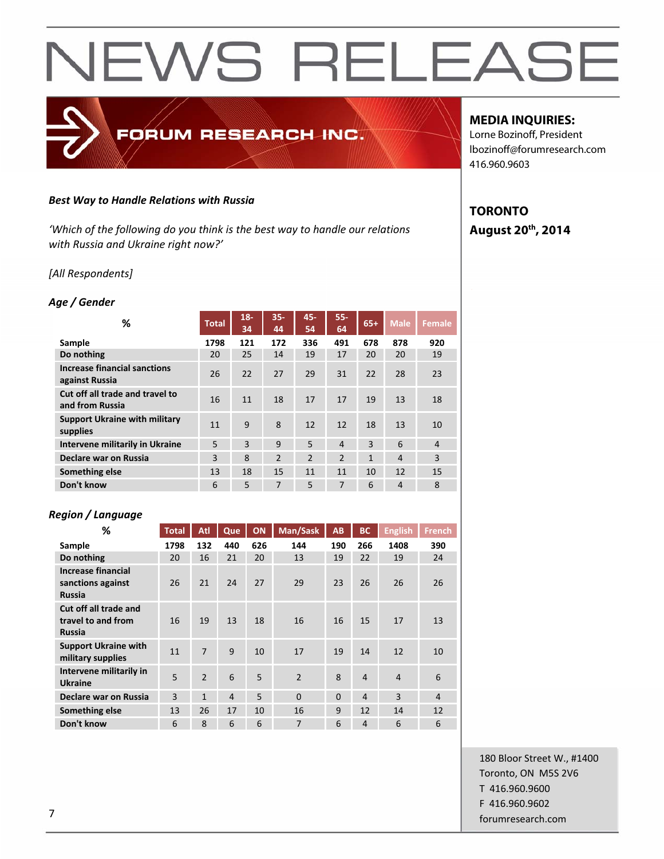#### *Best Way to Handle Relations with Russia*

*'Which of the following do you think is the best way to handle our relations with Russia and Ukraine right now?'*

FORUM RESEARCH INC.

#### *[All Respondents]*

#### *Age / Gender*

| %                                                     | <b>Total</b> | $18 -$<br>34 | $35 -$<br>44   | 45-<br>54      | $55 -$<br>64   | $65+$        | <b>Male</b>    | <b>Female</b>  |
|-------------------------------------------------------|--------------|--------------|----------------|----------------|----------------|--------------|----------------|----------------|
| Sample                                                | 1798         | 121          | 172            | 336            | 491            | 678          | 878            | 920            |
| Do nothing                                            | 20           | 25           | 14             | 19             | 17             | 20           | 20             | 19             |
| <b>Increase financial sanctions</b><br>against Russia | 26           | 22           | 27             | 29             | 31             | 22           | 28             | 23             |
| Cut off all trade and travel to<br>and from Russia    | 16           | 11           | 18             | 17             | 17             | 19           | 13             | 18             |
| <b>Support Ukraine with military</b><br>supplies      | 11           | 9            | 8              | 12             | 12             | 18           | 13             | 10             |
| <b>Intervene militarily in Ukraine</b>                | 5            | 3            | 9              | 5              | $\overline{4}$ | 3            | 6              | $\overline{4}$ |
| Declare war on Russia                                 | 3            | 8            | $\overline{2}$ | $\overline{2}$ | $\overline{2}$ | $\mathbf{1}$ | $\overline{4}$ | $\overline{3}$ |
| Something else                                        | 13           | 18           | 15             | 11             | 11             | 10           | 12             | 15             |
| Don't know                                            | 6            | 5            | 7              | 5              | 7              | 6            | 4              | 8              |

#### *Region / Language*

| ℅                                                               | <b>Total</b> | Atl                      | Que            | ON  | Man/Sask       | <b>AB</b> | <b>BC</b>      | <b>English</b> | <b>French</b>  |
|-----------------------------------------------------------------|--------------|--------------------------|----------------|-----|----------------|-----------|----------------|----------------|----------------|
| Sample                                                          | 1798         | 132                      | 440            | 626 | 144            | 190       | 266            | 1408           | 390            |
| Do nothing                                                      | 20           | 16                       | 21             | 20  | 13             | 19        | 22             | 19             | 24             |
| <b>Increase financial</b><br>sanctions against<br><b>Russia</b> | 26           | 21                       | 24             | 27  | 29             | 23        | 26             | 26             | 26             |
| Cut off all trade and<br>travel to and from<br><b>Russia</b>    | 16           | 19                       | 13             | 18  | 16             | 16        | 15             | 17             | 13             |
| <b>Support Ukraine with</b><br>military supplies                | 11           | 7                        | 9              | 10  | 17             | 19        | 14             | 12             | 10             |
| Intervene militarily in<br><b>Ukraine</b>                       | 5            | $\overline{\phantom{0}}$ | 6              | 5   | $\overline{2}$ | 8         | $\overline{a}$ | $\overline{4}$ | 6              |
| Declare war on Russia                                           | 3            | $\mathbf{1}$             | $\overline{4}$ | 5   | $\Omega$       | $\Omega$  | $\overline{a}$ | 3              | $\overline{4}$ |
| Something else                                                  | 13           | 26                       | 17             | 10  | 16             | 9         | 12             | 14             | 12             |
| Don't know                                                      | 6            | 8                        | 6              | 6   | $\overline{7}$ | 6         | $\overline{4}$ | 6              | 6              |

#### **MEDIA INQUIRIES:**

Lorne Bozinoff, President lbozinoff@forumresearch.com 416.960.9603

## **TORONTO August 20th, 2014**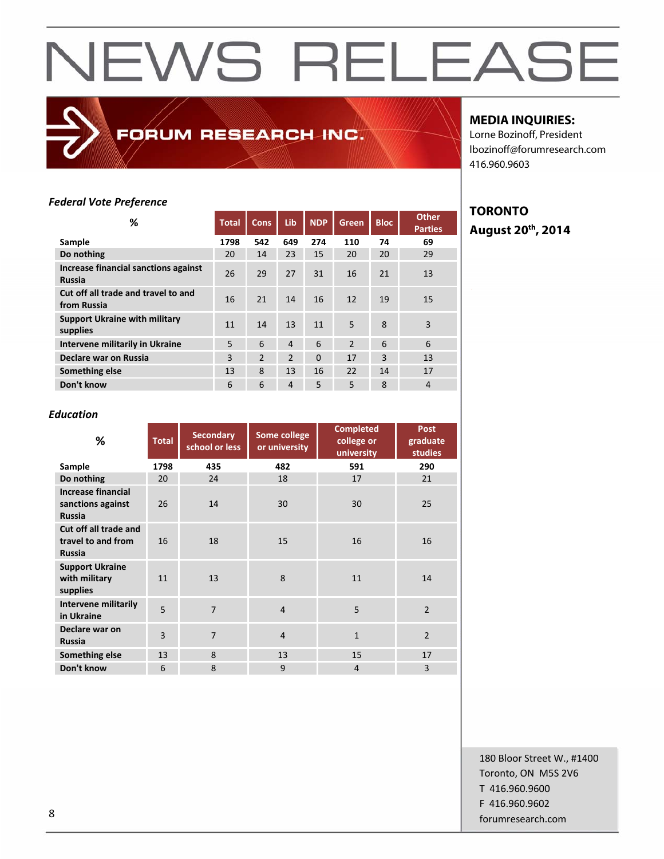FORUM RESEARCH INC.

### **MEDIA INQUIRIES:**

Lorne Bozinoff, President lbozinoff@forumresearch.com 416.960.9603

#### *Federal Vote Preference*

| ℅                                                     | <b>Total</b> | <b>Cons</b>    | Lib            | <b>NDP</b> | <b>Green</b>   | <b>Bloc</b> | <b>Other</b><br><b>Parties</b> |
|-------------------------------------------------------|--------------|----------------|----------------|------------|----------------|-------------|--------------------------------|
| Sample                                                | 1798         | 542            | 649            | 274        | 110            | 74          | 69                             |
| Do nothing                                            | 20           | 14             | 23             | 15         | 20             | 20          | 29                             |
| Increase financial sanctions against<br><b>Russia</b> | 26           | 29             | 27             | 31         | 16             | 21          | 13                             |
| Cut off all trade and travel to and<br>from Russia    | 16           | 21             | 14             | 16         | 12             | 19          | 15                             |
| <b>Support Ukraine with military</b><br>supplies      | 11           | 14             | 13             | 11         | 5              | 8           | 3                              |
| Intervene militarily in Ukraine                       | 5            | 6              | $\overline{4}$ | 6          | $\mathfrak{p}$ | 6           | 6                              |
| Declare war on Russia                                 | 3            | $\overline{2}$ | 2              | $\Omega$   | 17             | 3           | 13                             |
| Something else                                        | 13           | 8              | 13             | 16         | 22             | 14          | 17                             |
| Don't know                                            | 6            | 6              | $\overline{4}$ | 5          | 5              | 8           | 4                              |

### **TORONTO August 20th, 2014**

#### *Education*

| %                                                               | <b>Total</b> | <b>Secondary</b><br>school or less | Some college<br>or university | <b>Completed</b><br>college or<br>university | Post<br>graduate<br><b>studies</b> |  |
|-----------------------------------------------------------------|--------------|------------------------------------|-------------------------------|----------------------------------------------|------------------------------------|--|
| Sample                                                          | 1798         | 435                                | 482                           | 591                                          | 290                                |  |
| Do nothing                                                      | 20           | 24                                 | 18                            | 17                                           | 21                                 |  |
| <b>Increase financial</b><br>sanctions against<br><b>Russia</b> | 26           | 14                                 | 30                            | 30                                           | 25                                 |  |
| Cut off all trade and<br>travel to and from<br><b>Russia</b>    | 16           | 18                                 | 15                            | 16                                           | 16                                 |  |
| <b>Support Ukraine</b><br>with military<br>supplies             | 11           | 13                                 | 8                             | 11                                           | 14                                 |  |
| <b>Intervene militarily</b><br>in Ukraine                       | 5            | $\overline{7}$                     | $\overline{4}$                | 5                                            | $\overline{2}$                     |  |
| Declare war on<br><b>Russia</b>                                 | 3            | $\overline{7}$                     | $\overline{4}$                | $\mathbf{1}$                                 | $\mathcal{P}$                      |  |
| Something else                                                  | 13           | 8                                  | 13                            | 15                                           | 17                                 |  |
| Don't know                                                      | 6            | 8                                  | 9                             | $\overline{4}$                               | 3                                  |  |

180 Bloor Street W., #1400 Toronto, ON M5S 2V6 T 416.960.9600 F 416.960.9602 example and the state of the state of the state of the state of the state of the state of the state of the state of the state of the state of the state of the state of the state of the state of the state of the state of th